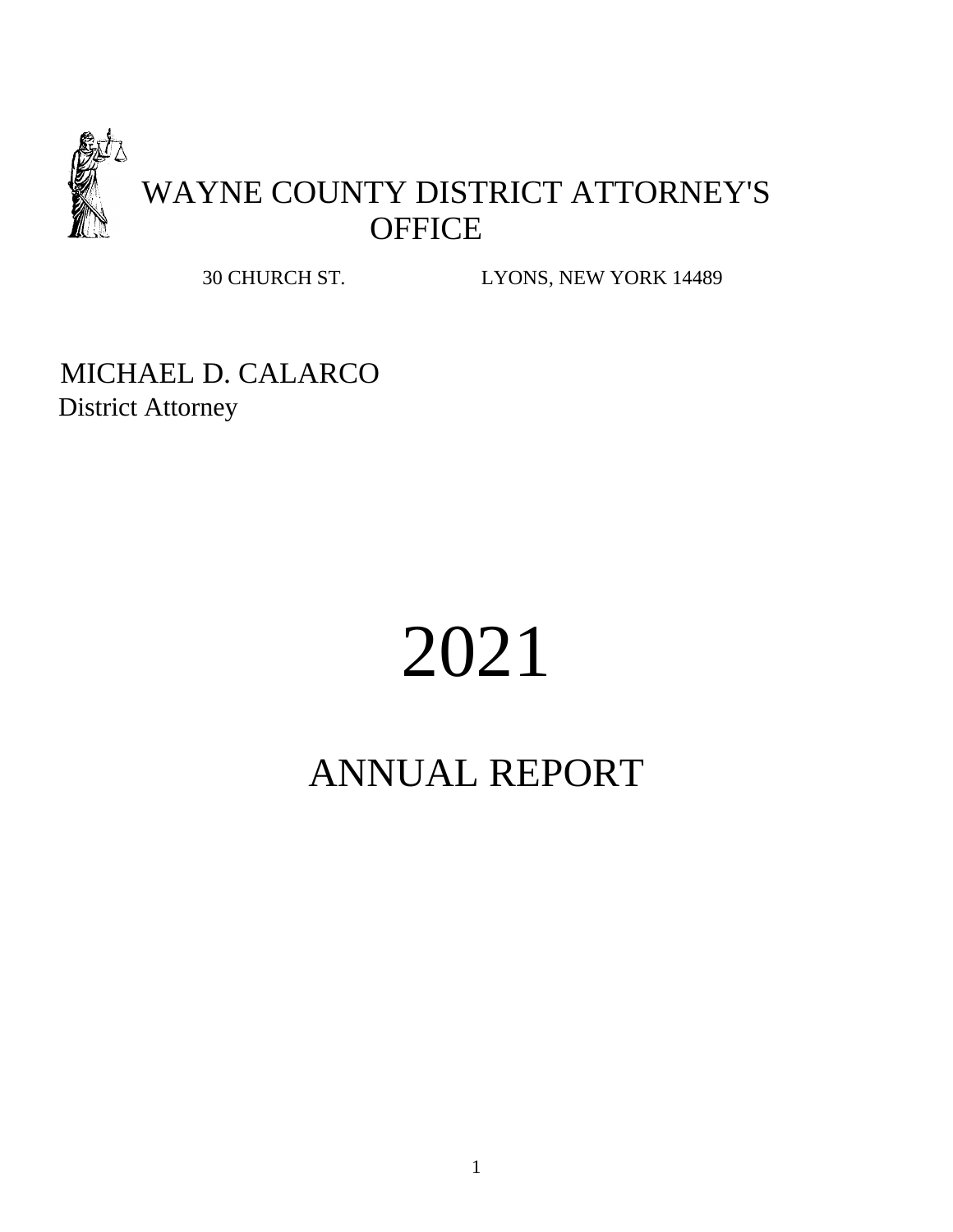

30 CHURCH ST. LYONS, NEW YORK 14489

MICHAEL D. CALARCO District Attorney

# 2021

## ANNUAL REPORT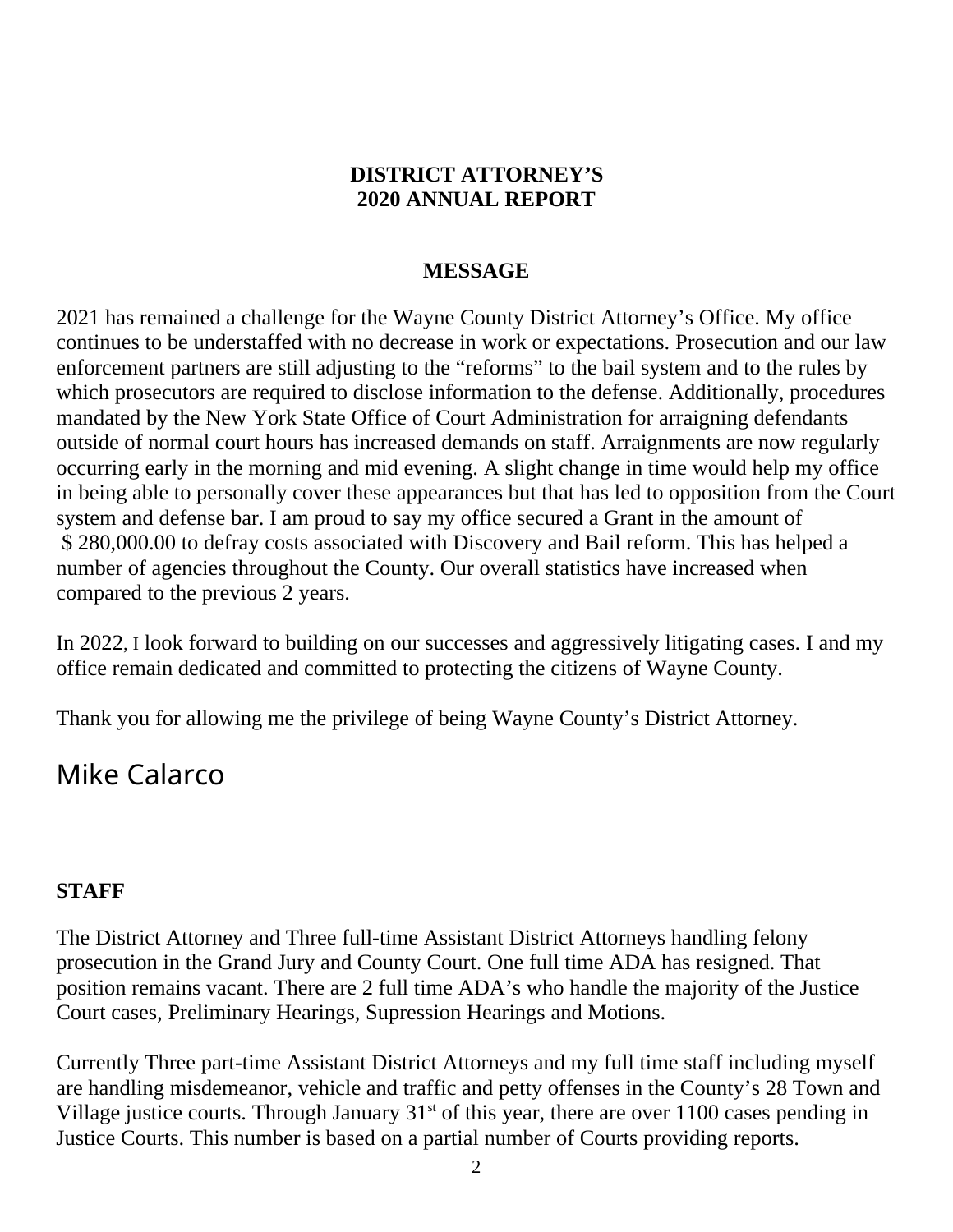#### **DISTRICT ATTORNEY'S 2020 ANNUAL REPORT**

#### **MESSAGE**

2021 has remained a challenge for the Wayne County District Attorney's Office. My office continues to be understaffed with no decrease in work or expectations. Prosecution and our law enforcement partners are still adjusting to the "reforms" to the bail system and to the rules by which prosecutors are required to disclose information to the defense. Additionally, procedures mandated by the New York State Office of Court Administration for arraigning defendants outside of normal court hours has increased demands on staff. Arraignments are now regularly occurring early in the morning and mid evening. A slight change in time would help my office in being able to personally cover these appearances but that has led to opposition from the Court system and defense bar. I am proud to say my office secured a Grant in the amount of \$ 280,000.00 to defray costs associated with Discovery and Bail reform. This has helped a number of agencies throughout the County. Our overall statistics have increased when compared to the previous 2 years.

In 2022, I look forward to building on our successes and aggressively litigating cases. I and my office remain dedicated and committed to protecting the citizens of Wayne County.

Thank you for allowing me the privilege of being Wayne County's District Attorney.

## Mike Calarco

#### **STAFF**

The District Attorney and Three full-time Assistant District Attorneys handling felony prosecution in the Grand Jury and County Court. One full time ADA has resigned. That position remains vacant. There are 2 full time ADA's who handle the majority of the Justice Court cases, Preliminary Hearings, Supression Hearings and Motions.

Currently Three part-time Assistant District Attorneys and my full time staff including myself are handling misdemeanor, vehicle and traffic and petty offenses in the County's 28 Town and Village justice courts. Through January  $31<sup>st</sup>$  of this year, there are over 1100 cases pending in Justice Courts. This number is based on a partial number of Courts providing reports.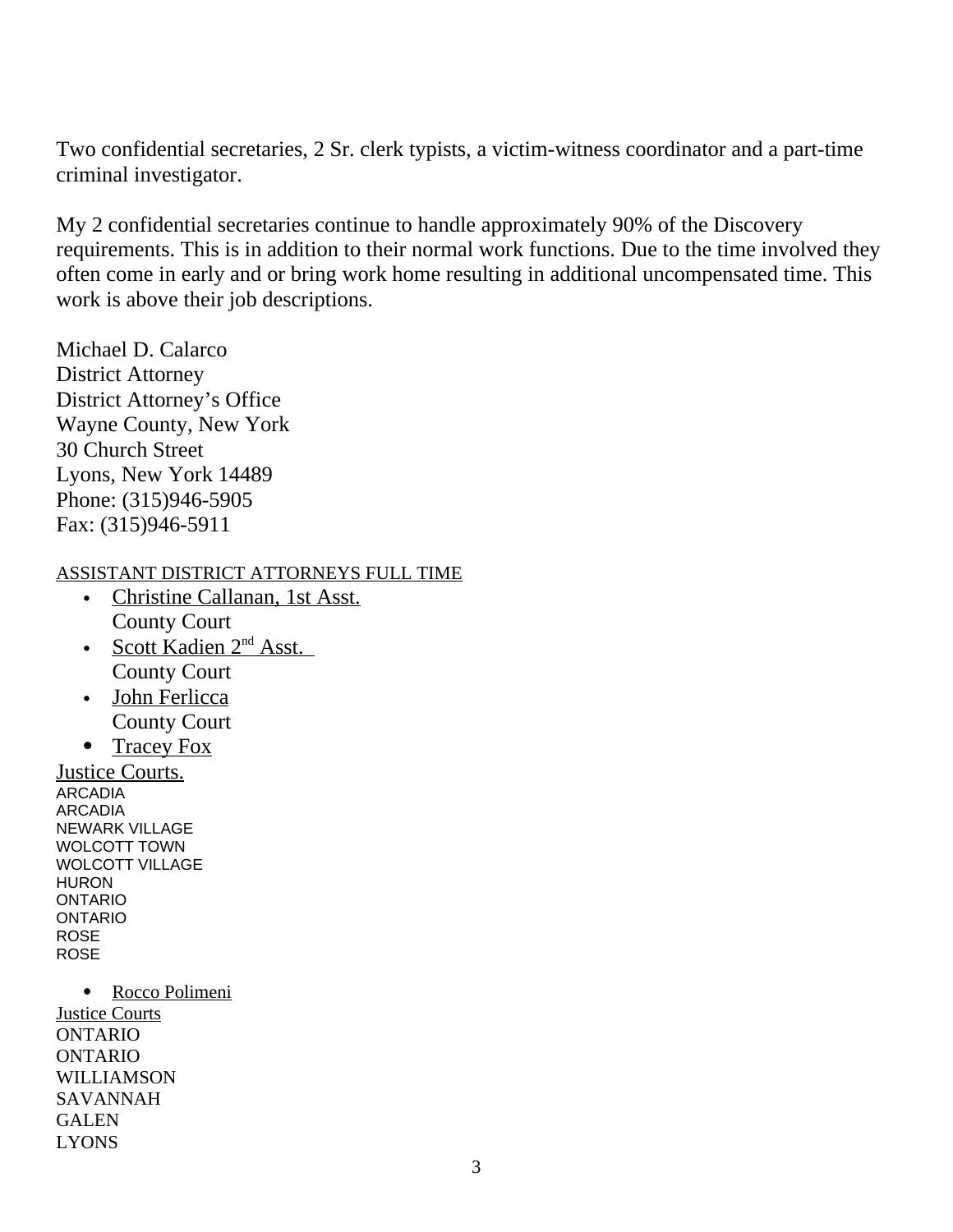Two confidential secretaries, 2 Sr. clerk typists, a victim-witness coordinator and a part-time criminal investigator.

My 2 confidential secretaries continue to handle approximately 90% of the Discovery requirements. This is in addition to their normal work functions. Due to the time involved they often come in early and or bring work home resulting in additional uncompensated time. This work is above their job descriptions.

Michael D. Calarco District Attorney District Attorney's Office Wayne County, New York 30 Church Street Lyons, New York 14489 Phone: (315)946-5905 Fax: (315)946-5911

ASSISTANT DISTRICT ATTORNEYS FULL TIME

- Christine Callanan, 1st Asst. County Court
- Scott Kadien 2<sup>nd</sup> Asst. County Court
- John Ferlicca County Court
- Tracey Fox

Justice Courts. ARCADIA ARCADIA NEWARK VILLAGE WOLCOTT TOWN WOLCOTT VILLAGE **HURON** ONTARIO ONTARIO ROSE **ROSE** 

 Rocco Polimeni Justice Courts ONTARIO ONTARIO WILLIAMSON SAVANNAH GALEN LYONS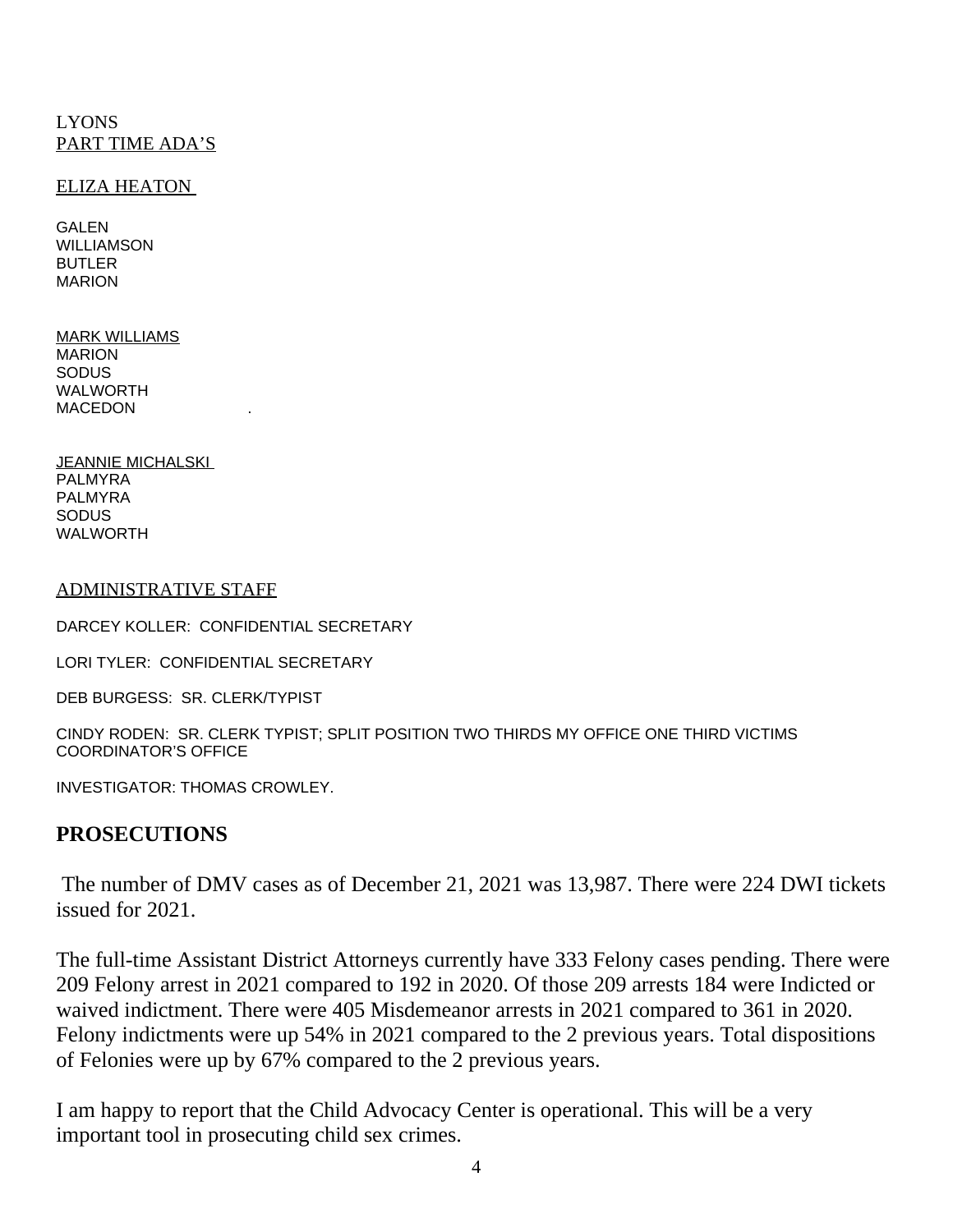#### LYONS PART TIME ADA'S

#### ELIZA HEATON

GALEN WILLIAMSON BUTLER MARION

MARK WILLIAMS MARION **SODUS** WALWORTH **MACEDON** 

JEANNIE MICHALSKI PALMYRA PALMYRA SODUS WALWORTH

#### ADMINISTRATIVE STAFF

DARCEY KOLLER: CONFIDENTIAL SECRETARY

LORI TYLER: CONFIDENTIAL SECRETARY

DEB BURGESS: SR. CLERK/TYPIST

CINDY RODEN: SR. CLERK TYPIST; SPLIT POSITION TWO THIRDS MY OFFICE ONE THIRD VICTIMS COORDINATOR'S OFFICE

INVESTIGATOR: THOMAS CROWLEY.

#### **PROSECUTIONS**

 The number of DMV cases as of December 21, 2021 was 13,987. There were 224 DWI tickets issued for 2021.

The full-time Assistant District Attorneys currently have 333 Felony cases pending. There were 209 Felony arrest in 2021 compared to 192 in 2020. Of those 209 arrests 184 were Indicted or waived indictment. There were 405 Misdemeanor arrests in 2021 compared to 361 in 2020. Felony indictments were up 54% in 2021 compared to the 2 previous years. Total dispositions of Felonies were up by 67% compared to the 2 previous years.

I am happy to report that the Child Advocacy Center is operational. This will be a very important tool in prosecuting child sex crimes.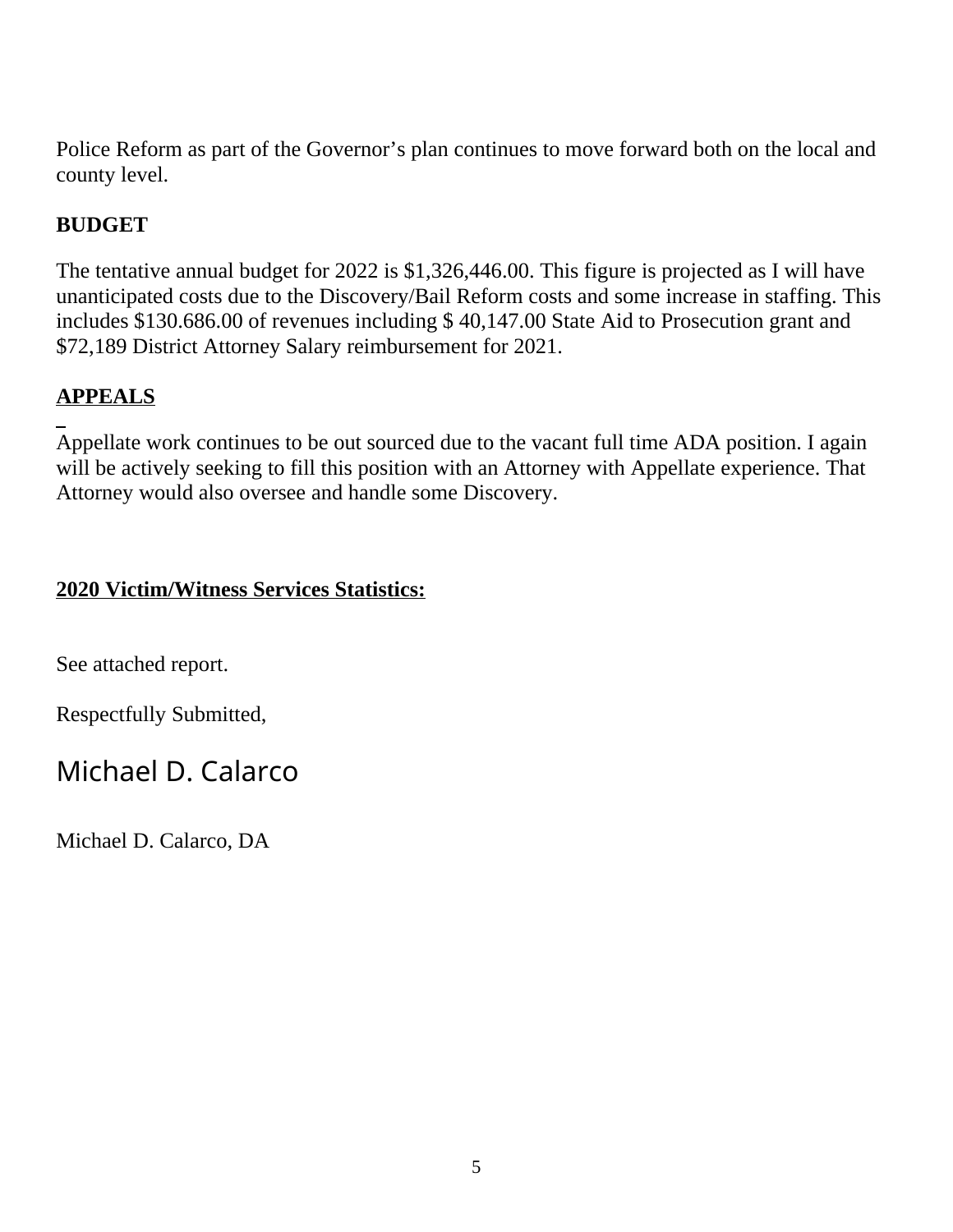Police Reform as part of the Governor's plan continues to move forward both on the local and county level.

#### **BUDGET**

The tentative annual budget for 2022 is \$1,326,446.00. This figure is projected as I will have unanticipated costs due to the Discovery/Bail Reform costs and some increase in staffing. This includes \$130.686.00 of revenues including \$ 40,147.00 State Aid to Prosecution grant and \$72,189 District Attorney Salary reimbursement for 2021.

#### **APPEALS**

 $\overline{a}$ Appellate work continues to be out sourced due to the vacant full time ADA position. I again will be actively seeking to fill this position with an Attorney with Appellate experience. That Attorney would also oversee and handle some Discovery.

#### **2020 Victim/Witness Services Statistics:**

See attached report.

Respectfully Submitted,

### Michael D. Calarco

Michael D. Calarco, DA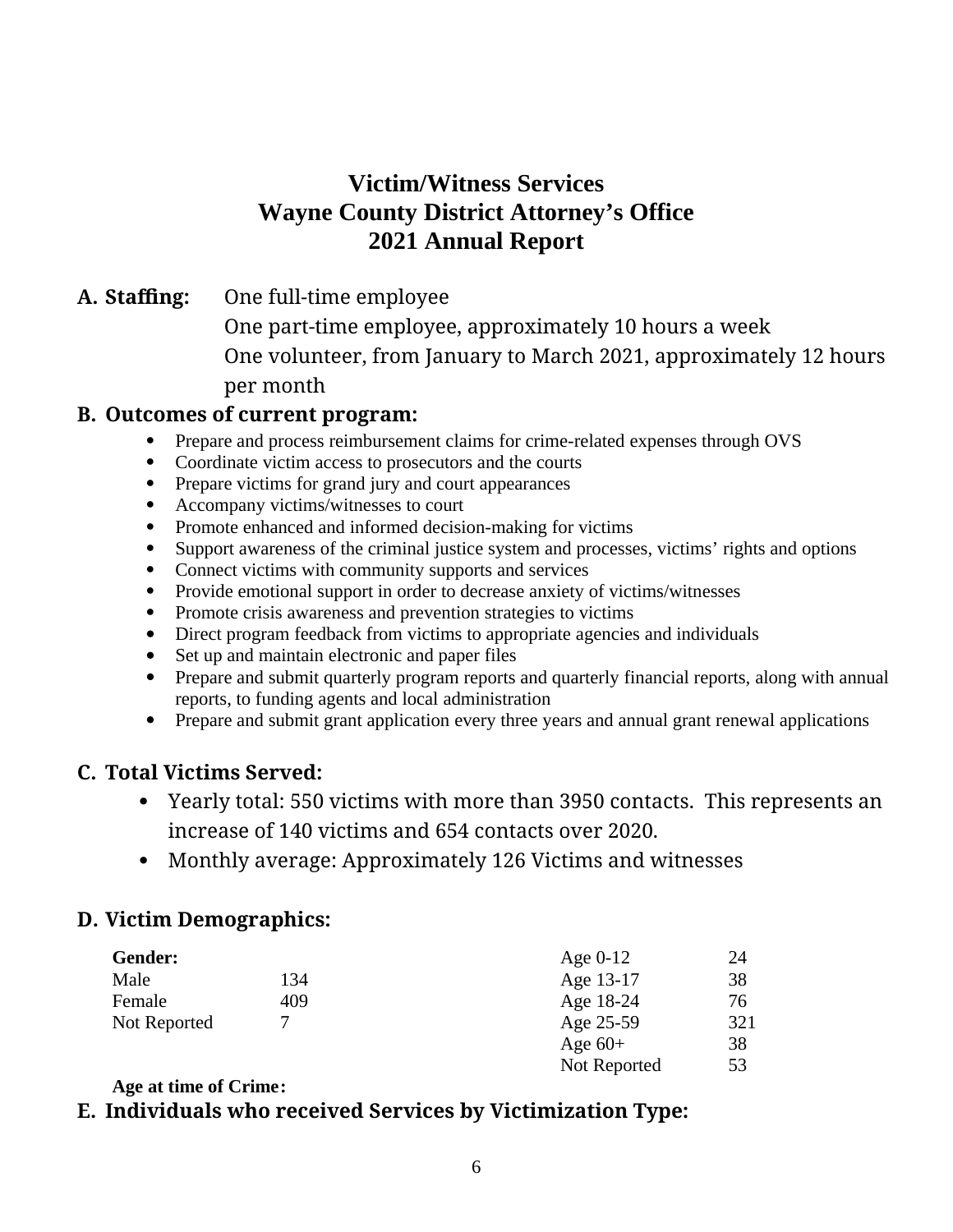#### **Victim/Witness Services Wayne County District Attorney's Office 2021 Annual Report**

**A. Staffing:** One full-time employee

One part-time employee, approximately 10 hours a week One volunteer, from January to March 2021, approximately 12 hours per month

#### **B. Outcomes of current program:**

- Prepare and process reimbursement claims for crime-related expenses through OVS
- Coordinate victim access to prosecutors and the courts<br>• Prepare victims for grand jury and court appearances
- Prepare victims for grand jury and court appearances
- Accompany victims/witnesses to court
- Promote enhanced and informed decision-making for victims
- Support awareness of the criminal justice system and processes, victims' rights and options
- Connect victims with community supports and services
- Provide emotional support in order to decrease anxiety of victims/witnesses
- Promote crisis awareness and prevention strategies to victims<br>• Direct program feedback from victims to appropriate agencies
- Direct program feedback from victims to appropriate agencies and individuals
- Set up and maintain electronic and paper files
- Prepare and submit quarterly program reports and quarterly financial reports, along with annual reports, to funding agents and local administration
- Prepare and submit grant application every three years and annual grant renewal applications

#### **C. Total Victims Served:**

- Yearly total: 550 victims with more than 3950 contacts. This represents an increase of 140 victims and 654 contacts over 2020.
- Monthly average: Approximately 126 Victims and witnesses

#### **D. Victim Demographics:**

| Gender:      |     | Age $0-12$   | 24  |
|--------------|-----|--------------|-----|
| Male         | 134 | Age 13-17    | 38  |
| Female       | 409 | Age 18-24    | 76  |
| Not Reported |     | Age 25-59    | 321 |
|              |     | Age $60+$    | 38  |
|              |     | Not Reported | 53  |

#### **Age at time of Crime:**

#### **E. Individuals who received Services by Victimization Type:**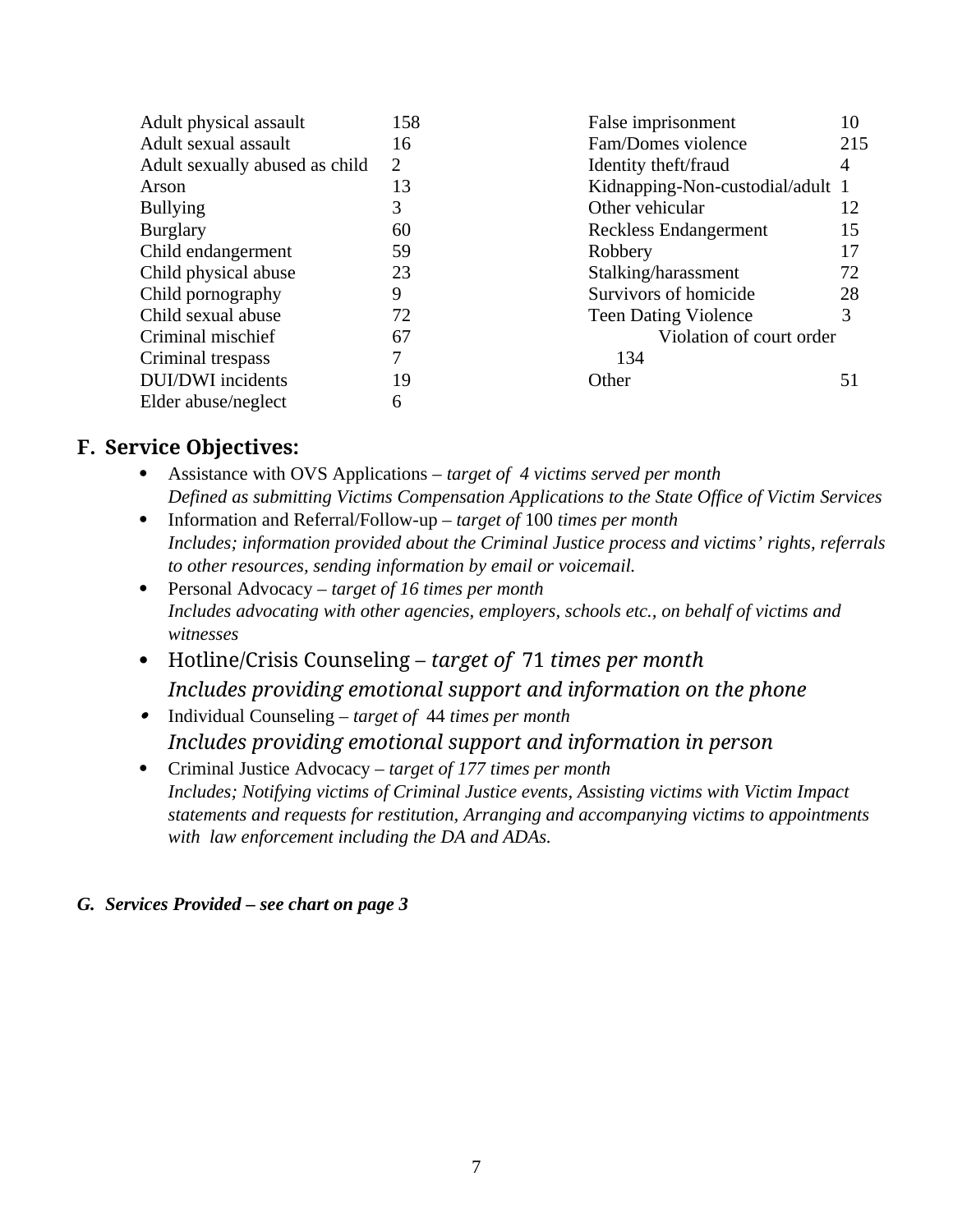| Adult physical assault         | 158            | False imprisonment               | 10  |
|--------------------------------|----------------|----------------------------------|-----|
| Adult sexual assault           | 16             | Fam/Domes violence               | 215 |
| Adult sexually abused as child | $\overline{2}$ | Identity theft/fraud             | 4   |
| Arson                          | 13             | Kidnapping-Non-custodial/adult 1 |     |
| <b>Bullying</b>                | 3              | Other vehicular                  | 12  |
| <b>Burglary</b>                | 60             | Reckless Endangerment            | 15  |
| Child endangerment             | 59             | Robbery                          | 17  |
| Child physical abuse           | 23             | Stalking/harassment              | 72  |
| Child pornography              | 9              | Survivors of homicide            | 28  |
| Child sexual abuse             | 72             | <b>Teen Dating Violence</b>      | 3   |
| Criminal mischief              | 67             | Violation of court order         |     |
| Criminal trespass              | 7              | 134                              |     |
| <b>DUI/DWI</b> incidents       | 19             | Other                            | 51  |
| Elder abuse/neglect            | 6              |                                  |     |

#### **F. Service Objectives:**

- Assistance with OVS Applications *target of 4 victims served per month Defined as submitting Victims Compensation Applications to the State Office of Victim Services*
- Information and Referral/Follow-up *target of* 100 *times per month Includes; information provided about the Criminal Justice process and victims' rights, referrals to other resources, sending information by email or voicemail.*
- Personal Advocacy *target of 16 times per month Includes advocating with other agencies, employers, schools etc., on behalf of victims and witnesses*
- Hotline/Crisis Counseling *target of* 71 *times per month Includes providing emotional support and information on the phone*
- Individual Counseling *target of* 44 *times per month Includes providing emotional support and information in person*
- Criminal Justice Advocacy *target of 177 times per month Includes; Notifying victims of Criminal Justice events, Assisting victims with Victim Impact statements and requests for restitution, Arranging and accompanying victims to appointments with law enforcement including the DA and ADAs.*

#### *G. Services Provided – see chart on page 3*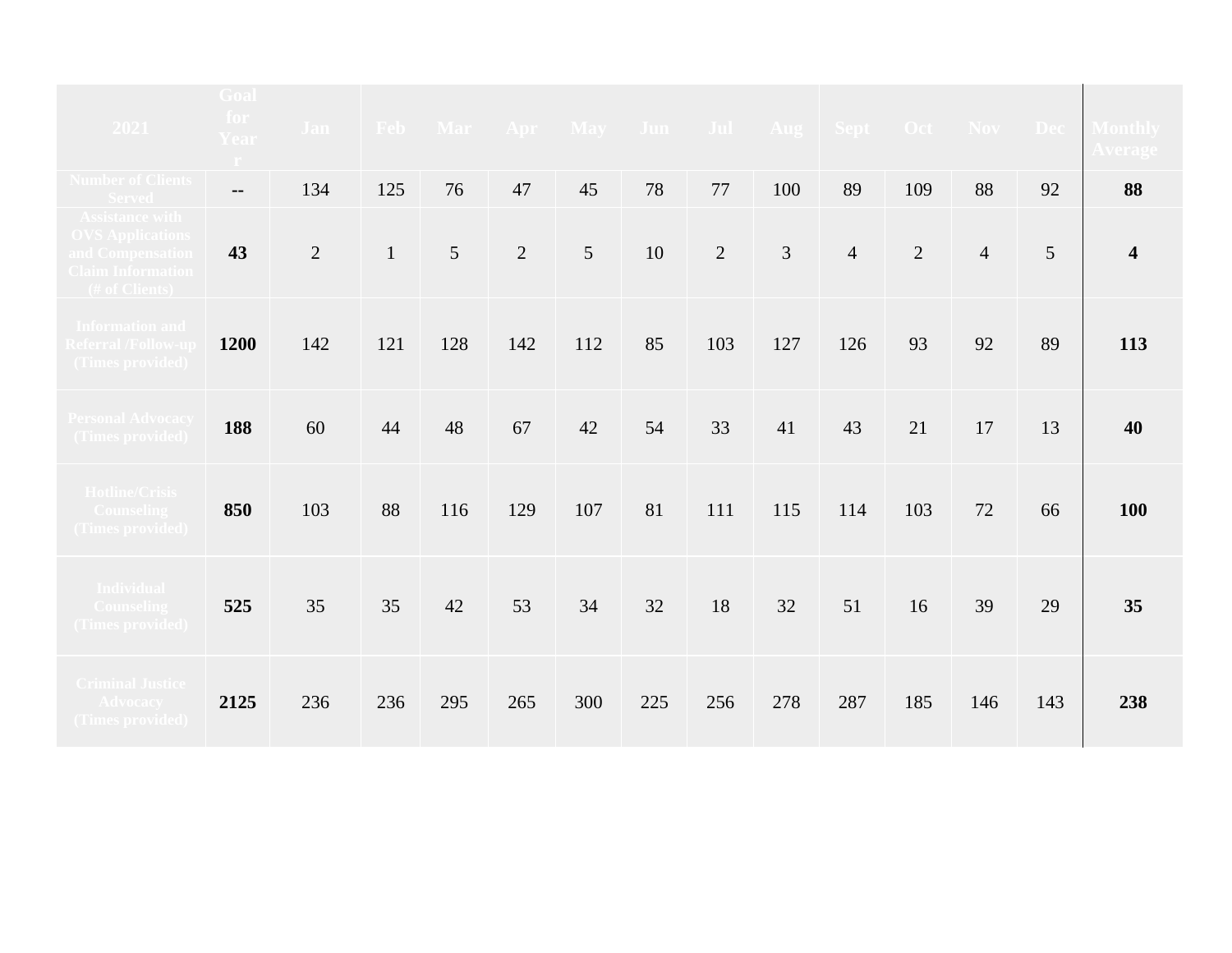| 2021                                                                                                            | <b>Goal</b><br>for<br>Year<br>$\langle \Gamma \rangle$ | <b>Jan</b>     |              |     |                | Feb Mar Apr May Jun Jul Aug Sept Oct Nov Dec |        |                |     |                |                |                |     | <b>Monthly</b><br><u>Average</u> |
|-----------------------------------------------------------------------------------------------------------------|--------------------------------------------------------|----------------|--------------|-----|----------------|----------------------------------------------|--------|----------------|-----|----------------|----------------|----------------|-----|----------------------------------|
| <b>Number of Clients</b><br><b>Served</b>                                                                       | $- -$                                                  | 134            | 125          | 76  | 47             | 45                                           | 78     | 77             | 100 | 89             | 109            | 88             | 92  | 88                               |
| <b>Assistance with</b><br><b>OVS Applications</b><br>and Compensation<br>Claim Information<br>$($ # of Clients) | 43                                                     | $\overline{2}$ | $\mathbf{1}$ | 5   | $\overline{2}$ | 5                                            | $10\,$ | $\overline{2}$ | 3   | $\overline{4}$ | $\overline{2}$ | $\overline{4}$ | 5   | $\overline{\mathbf{4}}$          |
| <b>Information and</b><br><b>Referral /Follow-up</b><br>(Times provided)                                        | 1200                                                   | 142            | 121          | 128 | 142            | 112                                          | 85     | 103            | 127 | 126            | 93             | 92             | 89  | 113                              |
| Personal Advocacy<br>(Times provided)                                                                           | 188                                                    | 60             | 44           | 48  | 67             | 42                                           | 54     | 33             | 41  | 43             | 21             | 17             | 13  | 40                               |
| <b>Hotline/Crisis</b><br><b>Counseling</b><br>(Times provided)                                                  | 850                                                    | 103            | 88           | 116 | 129            | 107                                          | 81     | 111            | 115 | 114            | 103            | 72             | 66  | 100                              |
| <b>Individual</b><br><b>Counseling</b><br>(Times provided)                                                      | 525                                                    | 35             | 35           | 42  | 53             | 34                                           | 32     | 18             | 32  | 51             | 16             | 39             | 29  | 35                               |
| <b>Criminal Justice</b><br><b>Advocacy</b><br>(Times provided)                                                  | 2125                                                   | 236            | 236          | 295 | 265            | 300                                          | 225    | 256            | 278 | 287            | 185            | 146            | 143 | 238                              |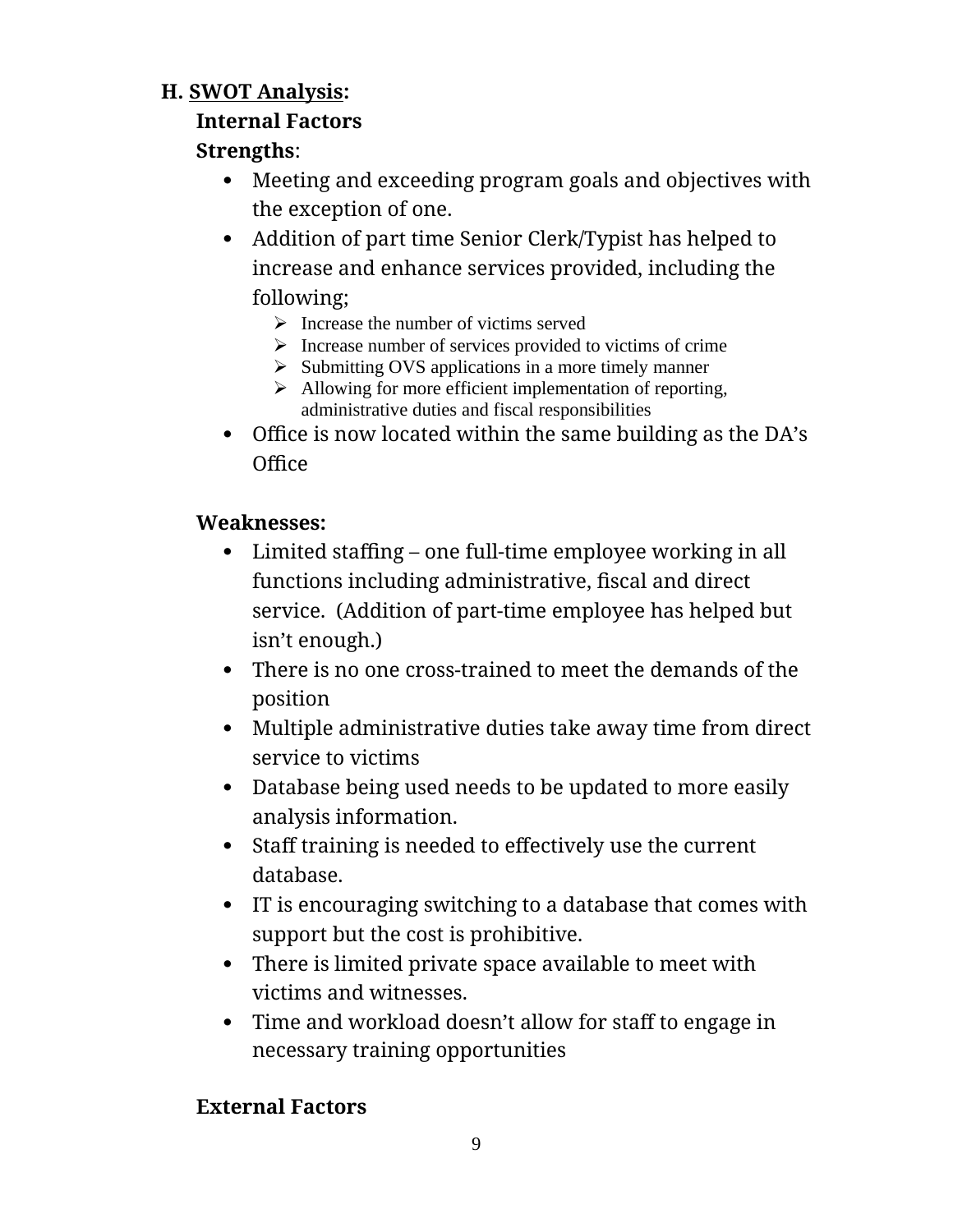#### **H. SWOT Analysis:**

#### **Internal Factors**

#### **Strengths**:

- Meeting and exceeding program goals and objectives with the exception of one.
- Addition of part time Senior Clerk/Typist has helped to increase and enhance services provided, including the following;
	- $\triangleright$  Increase the number of victims served
	- $\triangleright$  Increase number of services provided to victims of crime
	- $\triangleright$  Submitting OVS applications in a more timely manner
	- $\triangleright$  Allowing for more efficient implementation of reporting, administrative duties and fiscal responsibilities
- Office is now located within the same building as the DA's **Office**

#### **Weaknesses:**

- Limited staffing one full-time employee working in all functions including administrative, fiscal and direct service. (Addition of part-time employee has helped but isn't enough.)
- There is no one cross-trained to meet the demands of the position
- Multiple administrative duties take away time from direct service to victims
- Database being used needs to be updated to more easily analysis information.
- Staff training is needed to effectively use the current database.
- IT is encouraging switching to a database that comes with support but the cost is prohibitive.
- There is limited private space available to meet with victims and witnesses.
- Time and workload doesn't allow for staff to engage in necessary training opportunities

#### **External Factors**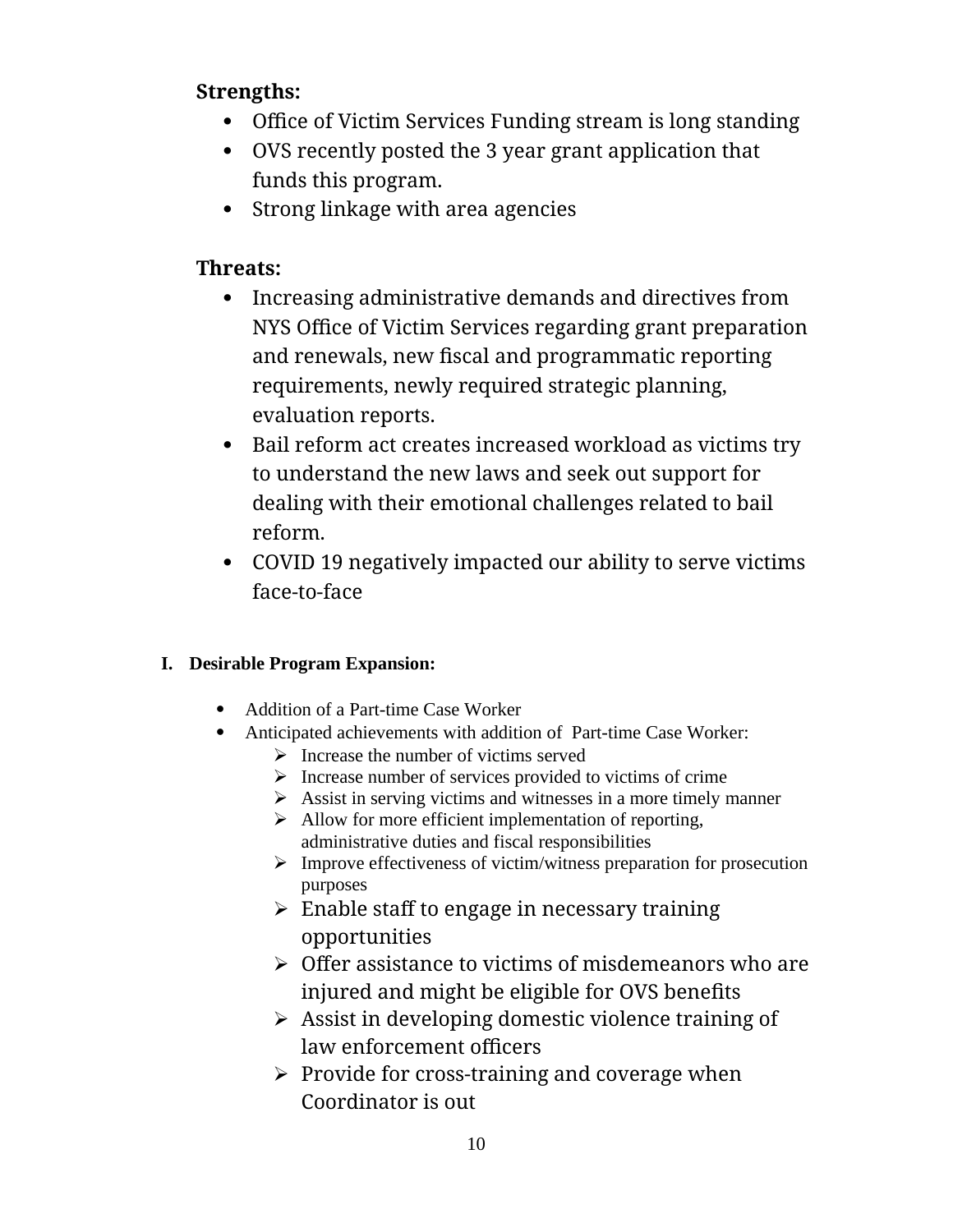#### **Strengths:**

- Office of Victim Services Funding stream is long standing
- OVS recently posted the 3 year grant application that funds this program.
- Strong linkage with area agencies

#### **Threats:**

- Increasing administrative demands and directives from NYS Office of Victim Services regarding grant preparation and renewals, new fiscal and programmatic reporting requirements, newly required strategic planning, evaluation reports.
- Bail reform act creates increased workload as victims try to understand the new laws and seek out support for dealing with their emotional challenges related to bail reform.
- COVID 19 negatively impacted our ability to serve victims face-to-face

#### **I. Desirable Program Expansion:**

- Addition of a Part-time Case Worker
- Anticipated achievements with addition of Part-time Case Worker:
	- $\triangleright$  Increase the number of victims served
	- $\triangleright$  Increase number of services provided to victims of crime
	- $\triangleright$  Assist in serving victims and witnesses in a more timely manner
	- $\triangleright$  Allow for more efficient implementation of reporting, administrative duties and fiscal responsibilities
	- $\triangleright$  Improve effectiveness of victim/witness preparation for prosecution purposes
	- $\triangleright$  Enable staff to engage in necessary training opportunities
	- $\triangleright$  Offer assistance to victims of misdemeanors who are injured and might be eligible for OVS benefits
	- $\triangleright$  Assist in developing domestic violence training of law enforcement officers
	- $\triangleright$  Provide for cross-training and coverage when Coordinator is out